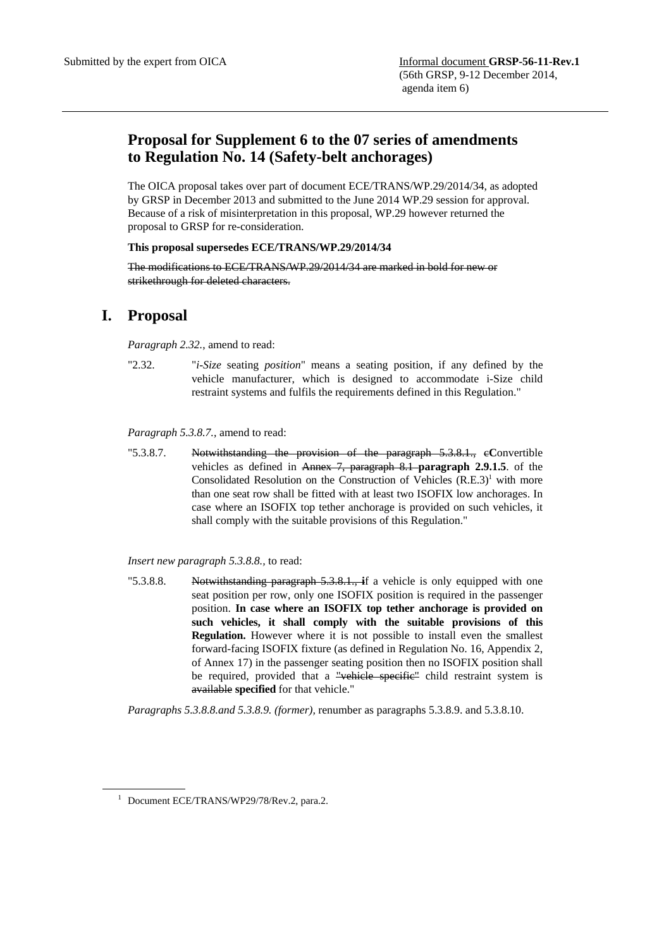## **Proposal for Supplement 6 to the 07 series of amendments to Regulation No. 14 (Safety-belt anchorages)**

The OICA proposal takes over part of document ECE/TRANS/WP.29/2014/34, as adopted by GRSP in December 2013 and submitted to the June 2014 WP.29 session for approval. Because of a risk of misinterpretation in this proposal, WP.29 however returned the proposal to GRSP for re-consideration.

## **This proposal supersedes ECE/TRANS/WP.29/2014/34**

The modifications to ECE/TRANS/WP.29/2014/34 are marked in bold for new or strikethrough for deleted characters.

## **I. Proposal**

*Paragraph 2.32.*, amend to read:

"2.32. "*i-Size* seating *position*" means a seating position, if any defined by the vehicle manufacturer, which is designed to accommodate i-Size child restraint systems and fulfils the requirements defined in this Regulation."

*Paragraph 5.3.8.7.,* amend to read:

"5.3.8.7. Notwithstanding the provision of the paragraph 5.3.8.1., c**C**onvertible vehicles as defined in Annex 7, paragraph 8.1 **paragraph 2.9.1.5**. of the Consolidated Resolution on the Construction of Vehicles  $(R.E.3)^1$  with more than one seat row shall be fitted with at least two ISOFIX low anchorages. In case where an ISOFIX top tether anchorage is provided on such vehicles, it shall comply with the suitable provisions of this Regulation."

*Insert new paragraph 5.3.8.8.,* to read:

"5.3.8.8. Notwithstanding paragraph 5.3.8.1., **i**f a vehicle is only equipped with one seat position per row, only one ISOFIX position is required in the passenger position. **In case where an ISOFIX top tether anchorage is provided on such vehicles, it shall comply with the suitable provisions of this Regulation.** However where it is not possible to install even the smallest forward-facing ISOFIX fixture (as defined in Regulation No. 16, Appendix 2, of Annex 17) in the passenger seating position then no ISOFIX position shall be required, provided that a "vehicle specific" child restraint system is available **specified** for that vehicle."

*Paragraphs 5.3.8.8.and 5.3.8.9. (former),* renumber as paragraphs 5.3.8.9. and 5.3.8.10.

 $\overline{a}$ 

<sup>&</sup>lt;sup>1</sup> Document ECE/TRANS/WP29/78/Rev.2, para.2.